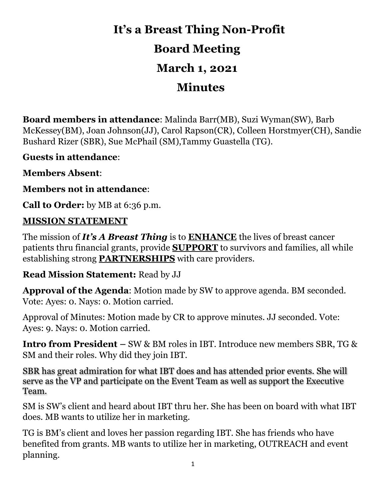# **It's a Breast Thing Non-Profit Board Meeting**

## **March 1, 2021**

### **Minutes**

**Board members in attendance**: Malinda Barr(MB), Suzi Wyman(SW), Barb McKessey(BM), Joan Johnson(JJ), Carol Rapson(CR), Colleen Horstmyer(CH), Sandie Bushard Rizer (SBR), Sue McPhail (SM),Tammy Guastella (TG).

**Guests in attendance**:

**Members Absent**:

**Members not in attendance**:

**Call to Order:** by MB at 6:36 p.m.

#### **MISSION STATEMENT**

The mission of *It's A Breast Thing* is to **ENHANCE** the lives of breast cancer patients thru financial grants, provide **SUPPORT** to survivors and families, all while establishing strong **PARTNERSHIPS** with care providers.

**Read Mission Statement:** Read by JJ

**Approval of the Agenda**: Motion made by SW to approve agenda. BM seconded. Vote: Ayes: 0. Nays: 0. Motion carried.

Approval of Minutes: Motion made by CR to approve minutes. JJ seconded. Vote: Ayes: 9. Nays: 0. Motion carried.

**Intro from President –** SW & BM roles in IBT. Introduce new members SBR, TG & SM and their roles. Why did they join IBT.

SBR has great admiration for what IBT does and has attended prior events. She will serve as the VP and participate on the Event Team as well as support the Executive Team.

SM is SW's client and heard about IBT thru her. She has been on board with what IBT does. MB wants to utilize her in marketing.

TG is BM's client and loves her passion regarding IBT. She has friends who have benefited from grants. MB wants to utilize her in marketing, OUTREACH and event planning.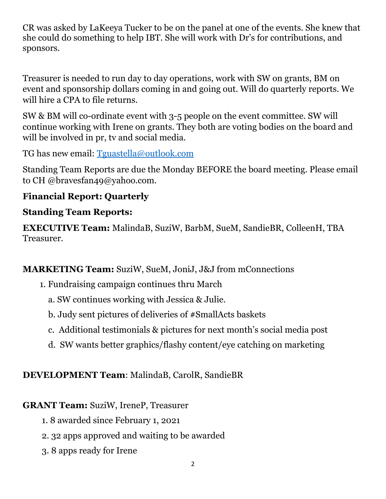CR was asked by LaKeeya Tucker to be on the panel at one of the events. She knew that she could do something to help IBT. She will work with Dr's for contributions, and sponsors.

Treasurer is needed to run day to day operations, work with SW on grants, BM on event and sponsorship dollars coming in and going out. Will do quarterly reports. We will hire a CPA to file returns.

SW & BM will co-ordinate event with 3-5 people on the event committee. SW will continue working with Irene on grants. They both are voting bodies on the board and will be involved in pr, tv and social media.

TG has new email: [Tguastella@outlook.com](mailto:susanemcintosh@gmail.com.) 

Standing Team Reports are due the Monday BEFORE the board meeting. Please email to CH @bravesfan49@yahoo.com.

#### **Financial Report: Quarterly**

#### **Standing Team Reports:**

**EXECUTIVE Team:** MalindaB, SuziW, BarbM, SueM, SandieBR, ColleenH, TBA Treasurer.

#### **MARKETING Team:** SuziW, SueM, JoniJ, J&J from mConnections

- 1. Fundraising campaign continues thru March
	- a. SW continues working with Jessica & Julie.
	- b. Judy sent pictures of deliveries of #SmallActs baskets
	- c. Additional testimonials & pictures for next month's social media post
	- d. SW wants better graphics/flashy content/eye catching on marketing

#### **DEVELOPMENT Team**: MalindaB, CarolR, SandieBR

#### **GRANT Team:** SuziW, IreneP, Treasurer

- 1. 8 awarded since February 1, 2021
- 2. 32 apps approved and waiting to be awarded
- 3. 8 apps ready for Irene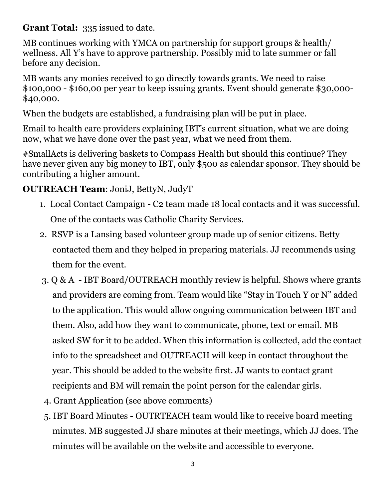**Grant Total:** 335 issued to date.

MB continues working with YMCA on partnership for support groups & health/ wellness. All Y's have to approve partnership. Possibly mid to late summer or fall before any decision.

MB wants any monies received to go directly towards grants. We need to raise \$100,000 - \$160,00 per year to keep issuing grants. Event should generate \$30,000- \$40,000.

When the budgets are established, a fundraising plan will be put in place.

Email to health care providers explaining IBT's current situation, what we are doing now, what we have done over the past year, what we need from them.

#SmallActs is delivering baskets to Compass Health but should this continue? They have never given any big money to IBT, only \$500 as calendar sponsor. They should be contributing a higher amount.

#### **OUTREACH Team**: JoniJ, BettyN, JudyT

- 1. Local Contact Campaign C2 team made 18 local contacts and it was successful. One of the contacts was Catholic Charity Services.
- 2. RSVP is a Lansing based volunteer group made up of senior citizens. Betty contacted them and they helped in preparing materials. JJ recommends using them for the event.
- 3. Q & A IBT Board/OUTREACH monthly review is helpful. Shows where grants and providers are coming from. Team would like "Stay in Touch Y or N" added to the application. This would allow ongoing communication between IBT and them. Also, add how they want to communicate, phone, text or email. MB asked SW for it to be added. When this information is collected, add the contact info to the spreadsheet and OUTREACH will keep in contact throughout the year. This should be added to the website first. JJ wants to contact grant recipients and BM will remain the point person for the calendar girls.
- 4. Grant Application (see above comments)
- 5. IBT Board Minutes OUTRTEACH team would like to receive board meeting minutes. MB suggested JJ share minutes at their meetings, which JJ does. The minutes will be available on the website and accessible to everyone.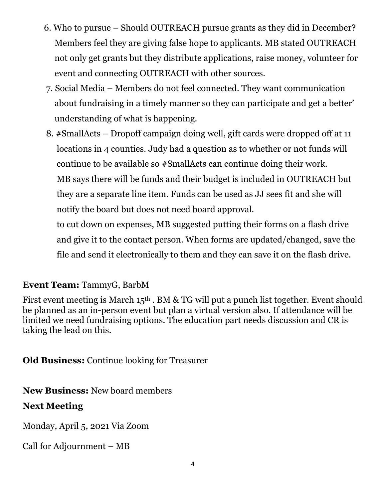- 6. Who to pursue Should OUTREACH pursue grants as they did in December? Members feel they are giving false hope to applicants. MB stated OUTREACH not only get grants but they distribute applications, raise money, volunteer for event and connecting OUTREACH with other sources.
- 7. Social Media Members do not feel connected. They want communication about fundraising in a timely manner so they can participate and get a better' understanding of what is happening.
- 8. #SmallActs Dropoff campaign doing well, gift cards were dropped off at 11 locations in 4 counties. Judy had a question as to whether or not funds will continue to be available so #SmallActs can continue doing their work. MB says there will be funds and their budget is included in OUTREACH but they are a separate line item. Funds can be used as JJ sees fit and she will notify the board but does not need board approval.

 to cut down on expenses, MB suggested putting their forms on a flash drive and give it to the contact person. When forms are updated/changed, save the file and send it electronically to them and they can save it on the flash drive.

#### **Event Team:** TammyG, BarbM

First event meeting is March 15<sup>th</sup>. BM & TG will put a punch list together. Event should be planned as an in-person event but plan a virtual version also. If attendance will be limited we need fundraising options. The education part needs discussion and CR is taking the lead on this.

**Old Business:** Continue looking for Treasurer

**New Business:** New board members

#### **Next Meeting**

Monday, April 5, 2021 Via Zoom

Call for Adjournment – MB